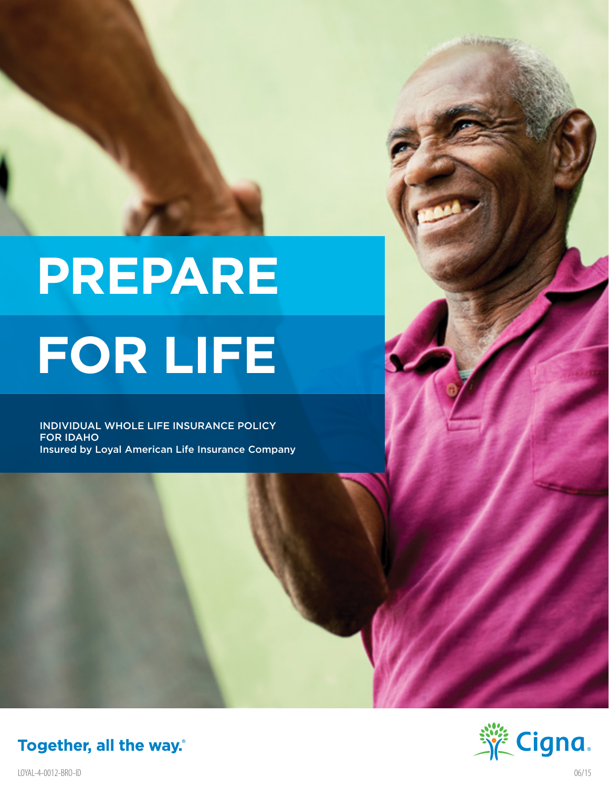# **PREPARE FOR LIFE**

INDIVIDUAL WHOLE LIFE INSURANCE POLICY FOR IDAHO Insured by Loyal American Life Insurance Company



Together, all the way.

LOYAL-4-0012-BRO-ID 06/15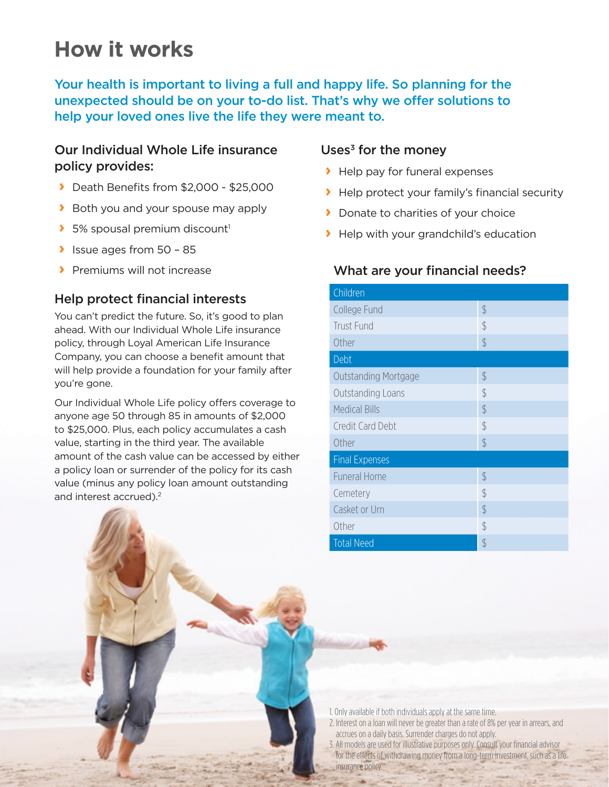# **How it works**

Your health is important to living a full and happy life. So planning for the unexpected should be on your to-do list. That's why we offer solutions to help your loved ones live the life they were meant to.

#### Our Individual Whole Life insurance policy provides:

- **›** Death Benefits from \$2,000 \$25,000
- **›** Both you and your spouse may apply
- **>** 5% spousal premium discount<sup>1</sup>
- **›** Issue ages from 50 85
- **›** Premiums will not increase

### Help protect financial interests

You can't predict the future. So, it's good to plan ahead. With our Individual Whole Life insurance policy, through Loyal American Life Insurance Company, you can choose a benefit amount that will help provide a foundation for your family after you're gone.

Our Individual Whole Life policy offers coverage to anyone age 50 through 85 in amounts of \$2,000 to \$25,000. Plus, each policy accumulates a cash value, starting in the third year. The available amount of the cash value can be accessed by either a policy loan or surrender of the policy for its cash value (minus any policy loan amount outstanding and interest accrued).<sup>2</sup>

#### Uses $3$  for the money

- **›** Help pay for funeral expenses
- **›** Help protect your family's financial security
- **›** Donate to charities of your choice
- **›** Help with your grandchild's education

#### What are your financial needs?

| Children                    |               |  |
|-----------------------------|---------------|--|
| College Fund                | $\mathcal{S}$ |  |
| <b>Trust Fund</b>           | \$            |  |
| Other                       | $\frac{1}{2}$ |  |
| Debt                        |               |  |
| <b>Outstanding Mortgage</b> | $\frac{1}{2}$ |  |
| Outstanding Loans           | $\frac{1}{2}$ |  |
| <b>Medical Bills</b>        | $\mathcal{S}$ |  |
| Credit Card Debt            | \$            |  |
| Other                       | $\frac{1}{2}$ |  |
| <b>Final Expenses</b>       |               |  |
| <b>Funeral Home</b>         | $\frac{1}{2}$ |  |
| Cemetery                    | $\mathcal{S}$ |  |
| Casket or Urn               | $\frac{1}{2}$ |  |
| Other                       | $\frac{1}{2}$ |  |
| <b>Total Need</b>           | \$            |  |

- 1. Only available if both individuals apply at the same time.
- 2. Interest on a loan will never be greater than a rate of 8% per year in arrears, and accrues on a daily basis. Surrender charges do not apply.
- 3. All models are used for illustrative purposes only. Consult your financial advisor for the effects of withdrawing money from a long-term investment, such as a life insurance policy.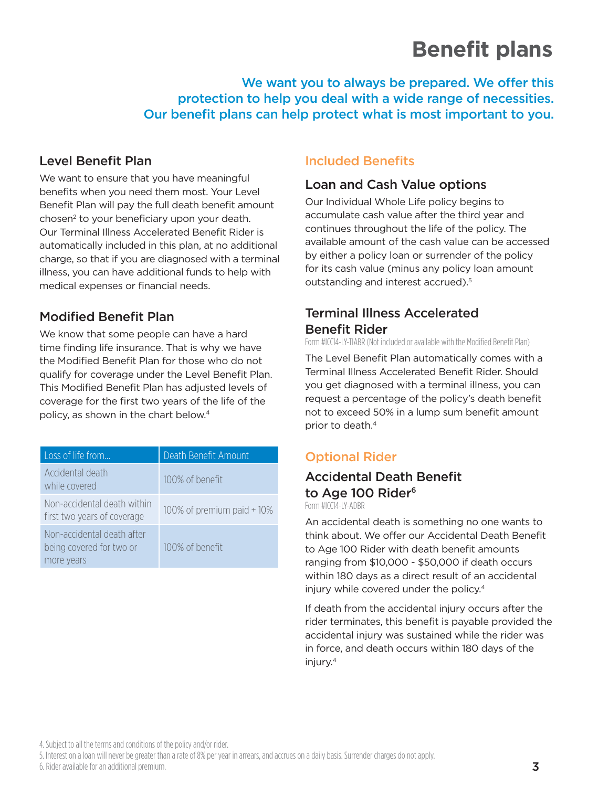# **Benefit plans**

We want you to always be prepared. We offer this protection to help you deal with a wide range of necessities. Our benefit plans can help protect what is most important to you.

# Level Benefit Plan

We want to ensure that you have meaningful benefits when you need them most. Your Level Benefit Plan will pay the full death benefit amount chosen<sup>2</sup> to your beneficiary upon your death. Our Terminal Illness Accelerated Benefit Rider is automatically included in this plan, at no additional charge, so that if you are diagnosed with a terminal illness, you can have additional funds to help with medical expenses or financial needs.

# Modified Benefit Plan

We know that some people can have a hard time finding life insurance. That is why we have the Modified Benefit Plan for those who do not qualify for coverage under the Level Benefit Plan. This Modified Benefit Plan has adjusted levels of coverage for the first two years of the life of the policy, as shown in the chart below.4

| Loss of life from                                                    | Death Benefit Amount       |
|----------------------------------------------------------------------|----------------------------|
| Accidental death<br>while covered                                    | 100% of benefit            |
| Non-accidental death within<br>first two years of coverage           | 100% of premium paid + 10% |
| Non-accidental death after<br>being covered for two or<br>more years | 100% of benefit            |

## Included Benefits

#### Loan and Cash Value options

Our Individual Whole Life policy begins to accumulate cash value after the third year and continues throughout the life of the policy. The available amount of the cash value can be accessed by either a policy loan or surrender of the policy for its cash value (minus any policy loan amount outstanding and interest accrued).<sup>5</sup>

## Terminal Illness Accelerated Benefit Rider

Form #ICC14-LY-TIABR (Not included or available with the Modified Benefit Plan)

The Level Benefit Plan automatically comes with a Terminal Illness Accelerated Benefit Rider. Should you get diagnosed with a terminal illness, you can request a percentage of the policy's death benefit not to exceed 50% in a lump sum benefit amount prior to death.4

# Optional Rider

# Accidental Death Benefit to Age 100 Rider<sup>6</sup>

Form #ICC14-LY-ADBR

An accidental death is something no one wants to think about. We offer our Accidental Death Benefit to Age 100 Rider with death benefit amounts ranging from \$10,000 - \$50,000 if death occurs within 180 days as a direct result of an accidental injury while covered under the policy.4

If death from the accidental injury occurs after the rider terminates, this benefit is payable provided the accidental injury was sustained while the rider was in force, and death occurs within 180 days of the injury.4

4. Subject to all the terms and conditions of the policy and/or rider.

5. Interest on a loan will never be greater than a rate of 8% per year in arrears, and accrues on a daily basis. Surrender charges do not apply.

6. Rider available for an additional premium.